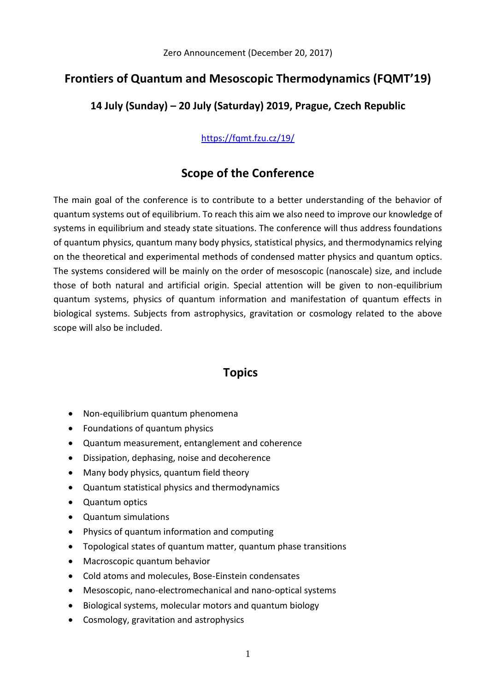### **Frontiers of Quantum and Mesoscopic Thermodynamics (FQMT'19)**

#### **14 July (Sunday) – 20 July (Saturday) 2019, Prague, Czech Republic**

#### <https://fqmt.fzu.cz/19/>

### **Scope of the Conference**

The main goal of the conference is to contribute to a better understanding of the behavior of quantum systems out of equilibrium. To reach this aim we also need to improve our knowledge of systems in equilibrium and steady state situations. The conference will thus address foundations of quantum physics, quantum many body physics, statistical physics, and thermodynamics relying on the theoretical and experimental methods of condensed matter physics and quantum optics. The systems considered will be mainly on the order of mesoscopic (nanoscale) size, and include those of both natural and artificial origin. Special attention will be given to non-equilibrium quantum systems, physics of quantum information and manifestation of quantum effects in biological systems. Subjects from astrophysics, gravitation or cosmology related to the above scope will also be included.

### **Topics**

- Non-equilibrium quantum phenomena
- Foundations of quantum physics
- Quantum measurement, entanglement and coherence
- Dissipation, dephasing, noise and decoherence
- Many body physics, quantum field theory
- Quantum statistical physics and thermodynamics
- Quantum optics
- Quantum simulations
- Physics of quantum information and computing
- Topological states of quantum matter, quantum phase transitions
- Macroscopic quantum behavior
- Cold atoms and molecules, Bose-Einstein condensates
- Mesoscopic, nano-electromechanical and nano-optical systems
- Biological systems, molecular motors and quantum biology
- Cosmology, gravitation and astrophysics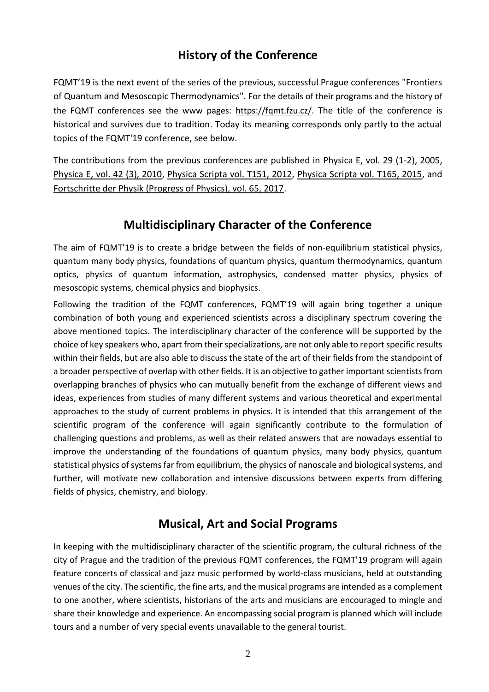## **History of the Conference**

FQMT'19 is the next event of the series of the previous, successful Prague conferences "Frontiers of Quantum and Mesoscopic Thermodynamics". For the details of their programs and the history of the FQMT conferences see the www pages: [https://fqmt.fzu.cz/.](https://fqmt.fzu.cz/) The title of the conference is historical and survives due to tradition. Today its meaning corresponds only partly to the actual topics of the FQMT'19 conference, see below.

The contributions from the previous conferences are published in [Physica E, vol. 29 \(1-2\), 2005,](http://www.sciencedirect.com/science/journal/13869477/29/1-2/) [Physica E, vol. 42 \(3\), 2010,](http://www.sciencedirect.com/science/journal/13869477/42/3) [Physica Scripta vol. T151, 2012,](http://iopscience.iop.org/1402-4896/2012/T151) [Physica Scripta vol. T165, 2015,](http://iopscience.iop.org/1402-4896/2015/T165) and [Fortschritte der Physik \(Progress of Physics\), vol. 65, 2017.](http://onlinelibrary.wiley.com/doi/10.1002/prop.v65.6-8/issuetoc)

#### **Multidisciplinary Character of the Conference**

The aim of FQMT'19 is to create a bridge between the fields of non-equilibrium statistical physics, quantum many body physics, foundations of quantum physics, quantum thermodynamics, quantum optics, physics of quantum information, astrophysics, condensed matter physics, physics of mesoscopic systems, chemical physics and biophysics.

Following the tradition of the FQMT conferences, FQMT'19 will again bring together a unique combination of both young and experienced scientists across a disciplinary spectrum covering the above mentioned topics. The interdisciplinary character of the conference will be supported by the choice of key speakers who, apart from their specializations, are not only able to report specific results within their fields, but are also able to discuss the state of the art of their fields from the standpoint of a broader perspective of overlap with other fields. It is an objective to gather important scientists from overlapping branches of physics who can mutually benefit from the exchange of different views and ideas, experiences from studies of many different systems and various theoretical and experimental approaches to the study of current problems in physics. It is intended that this arrangement of the scientific program of the conference will again significantly contribute to the formulation of challenging questions and problems, as well as their related answers that are nowadays essential to improve the understanding of the foundations of quantum physics, many body physics, quantum statistical physics of systems far from equilibrium, the physics of nanoscale and biological systems, and further, will motivate new collaboration and intensive discussions between experts from differing fields of physics, chemistry, and biology.

#### **Musical, Art and Social Programs**

In keeping with the multidisciplinary character of the scientific program, the cultural richness of the city of Prague and the tradition of the previous FQMT conferences, the FQMT'19 program will again feature concerts of classical and jazz music performed by world-class musicians, held at outstanding venues of the city. The scientific, the fine arts, and the musical programs are intended as a complement to one another, where scientists, historians of the arts and musicians are encouraged to mingle and share their knowledge and experience. An encompassing social program is planned which will include tours and a number of very special events unavailable to the general tourist.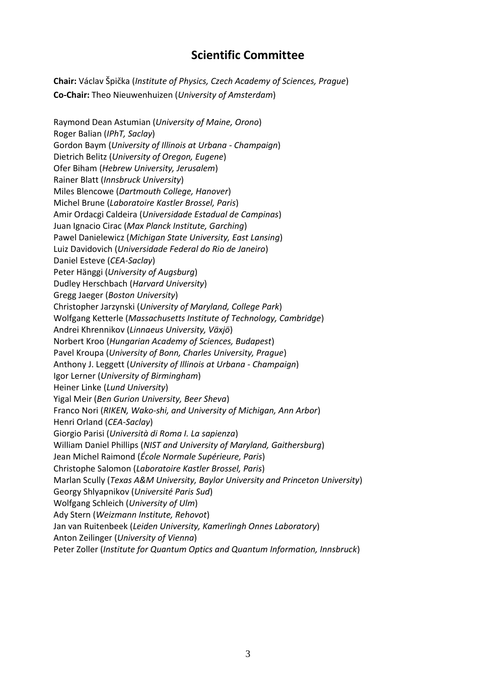### **Scientific Committee**

**Chair:** Václav Špička (*Institute of Physics, Czech Academy of Sciences, Prague*) **Co-Chair:** Theo Nieuwenhuizen (*University of Amsterdam*)

Raymond Dean Astumian (*University of Maine, Orono*) Roger Balian (*IPhT, Saclay*) Gordon Baym (*University of Illinois at Urbana - Champaign*) Dietrich Belitz (*University of Oregon, Eugene*) Ofer Biham (*Hebrew University, Jerusalem*) Rainer Blatt (*Innsbruck University*) Miles Blencowe (*Dartmouth College, Hanover*) Michel Brune (*Laboratoire Kastler Brossel, Paris*) Amir Ordacgi Caldeira (*Universidade Estadual de Campinas*) Juan Ignacio Cirac (*Max Planck Institute, Garching*) Pawel Danielewicz (*Michigan State University, East Lansing*) Luiz Davidovich (*Universidade Federal do Rio de Janeiro*) Daniel Esteve (*CEA-Saclay*) Peter Hänggi (*University of Augsburg*) Dudley Herschbach (*Harvard University*) Gregg Jaeger (*Boston University*) Christopher Jarzynski (*University of Maryland, College Park*) Wolfgang Ketterle (*Massachusetts Institute of Technology, Cambridge*) Andrei Khrennikov (*Linnaeus University, Växjö*) Norbert Kroo (*Hungarian Academy of Sciences, Budapest*) Pavel Kroupa (*University of Bonn, Charles University, Prague*) Anthony J. Leggett (*University of Illinois at Urbana - Champaign*) Igor Lerner (*University of Birmingham*) Heiner Linke (*Lund University*) Yigal Meir (*Ben Gurion University, Beer Sheva*) Franco Nori (*RIKEN, Wako-shi, and University of Michigan, Ann Arbor*) Henri Orland (*CEA-Saclay*) Giorgio Parisi (*Università di Roma I. La sapienza*) William Daniel Phillips (*NIST and University of Maryland, Gaithersburg*) Jean Michel Raimond (*École Normale Supérieure, Paris*) Christophe Salomon (*Laboratoire Kastler Brossel, Paris*) Marlan Scully (*Texas A&M University, Baylor University and Princeton University*) Georgy Shlyapnikov (*Université Paris Sud*) Wolfgang Schleich (*University of Ulm*) Ady Stern (*Weizmann Institute, Rehovot*) Jan van Ruitenbeek (*Leiden University, Kamerlingh Onnes Laboratory*) Anton Zeilinger (*University of Vienna*) Peter Zoller (*Institute for Quantum Optics and Quantum Information, Innsbruck*)